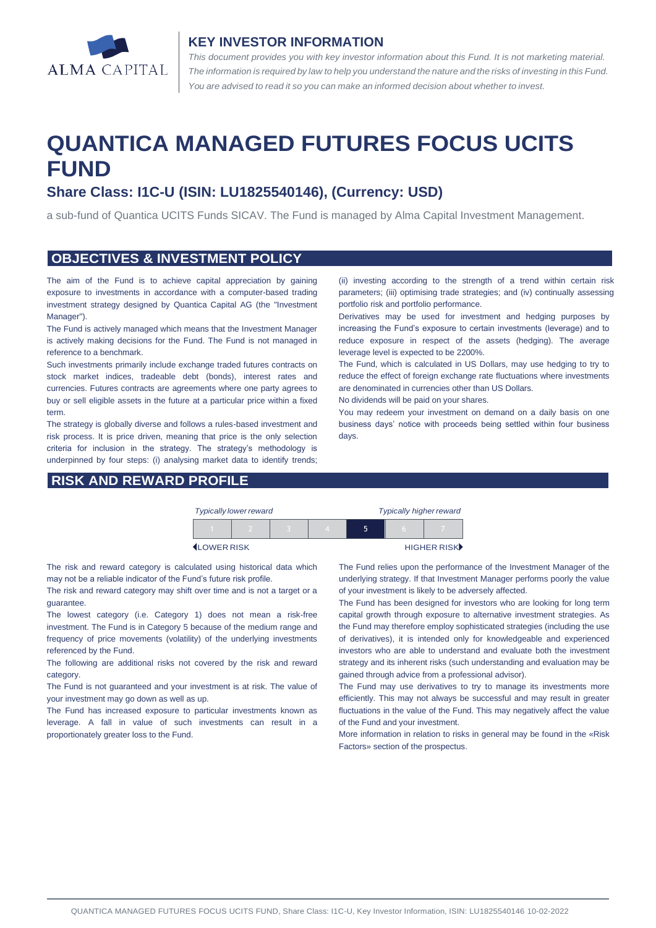

#### **KEY INVESTOR INFORMATION**

*This document provides you with key investor information about this Fund. It is not marketing material.*  The information is required by law to help you understand the nature and the risks of investing in this Fund. *You are advised to read it so you can make an informed decision about whether to invest.*

# **QUANTICA MANAGED FUTURES FOCUS UCITS FUND**

# **Share Class: I1C-U (ISIN: LU1825540146), (Currency: USD)**

a sub-fund of Quantica UCITS Funds SICAV. The Fund is managed by Alma Capital Investment Management.

#### **OBJECTIVES & INVESTMENT POLICY**

The aim of the Fund is to achieve capital appreciation by gaining exposure to investments in accordance with a computer-based trading investment strategy designed by Quantica Capital AG (the "Investment Manager").

The Fund is actively managed which means that the Investment Manager is actively making decisions for the Fund. The Fund is not managed in reference to a benchmark.

Such investments primarily include exchange traded futures contracts on stock market indices, tradeable debt (bonds), interest rates and currencies. Futures contracts are agreements where one party agrees to buy or sell eligible assets in the future at a particular price within a fixed term.

The strategy is globally diverse and follows a rules-based investment and risk process. It is price driven, meaning that price is the only selection criteria for inclusion in the strategy. The strategy's methodology is underpinned by four steps: (i) analysing market data to identify trends;

#### **RISK AND REWARD PROFILE**

(ii) investing according to the strength of a trend within certain risk parameters; (iii) optimising trade strategies; and (iv) continually assessing portfolio risk and portfolio performance.

Derivatives may be used for investment and hedging purposes by increasing the Fund's exposure to certain investments (leverage) and to reduce exposure in respect of the assets (hedging). The average leverage level is expected to be 2200%.

The Fund, which is calculated in US Dollars, may use hedging to try to reduce the effect of foreign exchange rate fluctuations where investments are denominated in currencies other than US Dollars.

No dividends will be paid on your shares.

You may redeem your investment on demand on a daily basis on one business days' notice with proceeds being settled within four business days.

| <b>Typically lower reward</b> |  |  |  | <b>Typically higher reward</b> |     |             |
|-------------------------------|--|--|--|--------------------------------|-----|-------------|
|                               |  |  |  |                                | ۱n. |             |
| <b>ILOWER RISK</b>            |  |  |  |                                |     | HIGHER RISK |

The risk and reward category is calculated using historical data which may not be a reliable indicator of the Fund's future risk profile.

The risk and reward category may shift over time and is not a target or a guarantee.

The lowest category (i.e. Category 1) does not mean a risk-free investment. The Fund is in Category 5 because of the medium range and frequency of price movements (volatility) of the underlying investments referenced by the Fund.

The following are additional risks not covered by the risk and reward category.

The Fund is not guaranteed and your investment is at risk. The value of your investment may go down as well as up.

The Fund has increased exposure to particular investments known as leverage. A fall in value of such investments can result in a proportionately greater loss to the Fund.

The Fund relies upon the performance of the Investment Manager of the underlying strategy. If that Investment Manager performs poorly the value of your investment is likely to be adversely affected.

The Fund has been designed for investors who are looking for long term capital growth through exposure to alternative investment strategies. As the Fund may therefore employ sophisticated strategies (including the use of derivatives), it is intended only for knowledgeable and experienced investors who are able to understand and evaluate both the investment strategy and its inherent risks (such understanding and evaluation may be gained through advice from a professional advisor).

The Fund may use derivatives to try to manage its investments more efficiently. This may not always be successful and may result in greater fluctuations in the value of the Fund. This may negatively affect the value of the Fund and your investment.

More information in relation to risks in general may be found in the «Risk Factors» section of the prospectus.